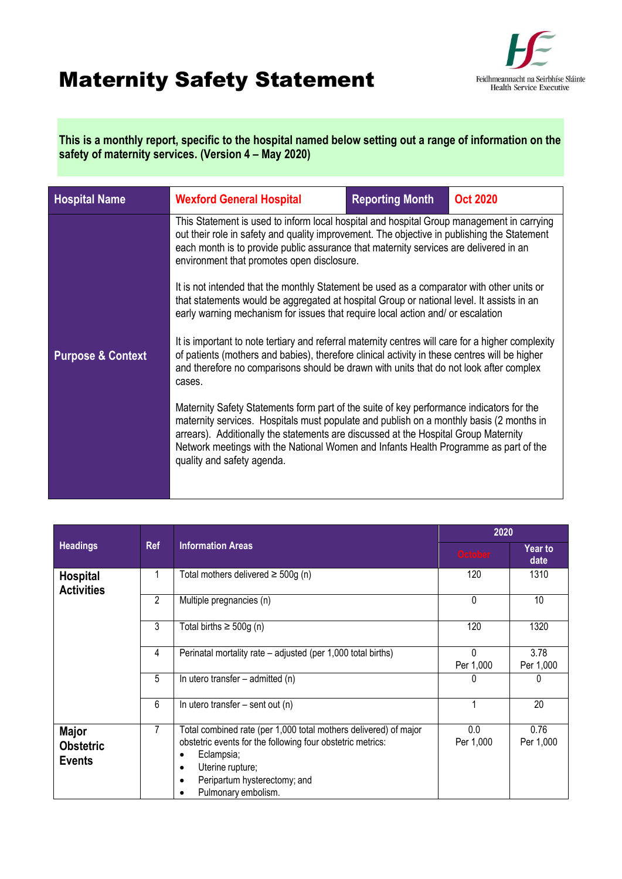## Maternity Safety Statement



**This is a monthly report, specific to the hospital named below setting out a range of information on the safety of maternity services. (Version 4 – May 2020)**

| <b>Hospital Name</b>         | <b>Wexford General Hospital</b>                                                                                                                                                                                                                                                                                                                                                                  | <b>Reporting Month</b> | <b>Oct 2020</b> |  |
|------------------------------|--------------------------------------------------------------------------------------------------------------------------------------------------------------------------------------------------------------------------------------------------------------------------------------------------------------------------------------------------------------------------------------------------|------------------------|-----------------|--|
|                              | This Statement is used to inform local hospital and hospital Group management in carrying<br>out their role in safety and quality improvement. The objective in publishing the Statement<br>each month is to provide public assurance that maternity services are delivered in an<br>environment that promotes open disclosure.                                                                  |                        |                 |  |
|                              | It is not intended that the monthly Statement be used as a comparator with other units or<br>that statements would be aggregated at hospital Group or national level. It assists in an<br>early warning mechanism for issues that require local action and/ or escalation                                                                                                                        |                        |                 |  |
| <b>Purpose &amp; Context</b> | It is important to note tertiary and referral maternity centres will care for a higher complexity<br>of patients (mothers and babies), therefore clinical activity in these centres will be higher<br>and therefore no comparisons should be drawn with units that do not look after complex<br>cases.                                                                                           |                        |                 |  |
|                              | Maternity Safety Statements form part of the suite of key performance indicators for the<br>maternity services. Hospitals must populate and publish on a monthly basis (2 months in<br>arrears). Additionally the statements are discussed at the Hospital Group Maternity<br>Network meetings with the National Women and Infants Health Programme as part of the<br>quality and safety agenda. |                        |                 |  |
|                              |                                                                                                                                                                                                                                                                                                                                                                                                  |                        |                 |  |

|                                                   | <b>Ref</b> | <b>Information Areas</b>                                                                                                                                                                                                                          | 2020                  |                   |
|---------------------------------------------------|------------|---------------------------------------------------------------------------------------------------------------------------------------------------------------------------------------------------------------------------------------------------|-----------------------|-------------------|
| <b>Headings</b>                                   |            |                                                                                                                                                                                                                                                   | <b>October</b>        | Year to<br>date   |
| <b>Hospital</b><br><b>Activities</b>              |            | Total mothers delivered $\geq$ 500g (n)                                                                                                                                                                                                           | 120                   | 1310              |
|                                                   | 2          | Multiple pregnancies (n)                                                                                                                                                                                                                          | $\Omega$              | 10                |
|                                                   | 3          | Total births $\geq 500g$ (n)                                                                                                                                                                                                                      | 120                   | 1320              |
|                                                   | 4          | Perinatal mortality rate – adjusted (per 1,000 total births)                                                                                                                                                                                      | $\Omega$<br>Per 1,000 | 3.78<br>Per 1,000 |
|                                                   | 5          | In utero transfer $-$ admitted (n)                                                                                                                                                                                                                |                       | 0                 |
|                                                   | 6          | In utero transfer $-$ sent out (n)                                                                                                                                                                                                                |                       | 20                |
| <b>Major</b><br><b>Obstetric</b><br><b>Events</b> | 7          | Total combined rate (per 1,000 total mothers delivered) of major<br>obstetric events for the following four obstetric metrics:<br>Eclampsia;<br>$\bullet$<br>Uterine rupture;<br>$\bullet$<br>Peripartum hysterectomy; and<br>Pulmonary embolism. | 0.0<br>Per 1,000      | 0.76<br>Per 1,000 |